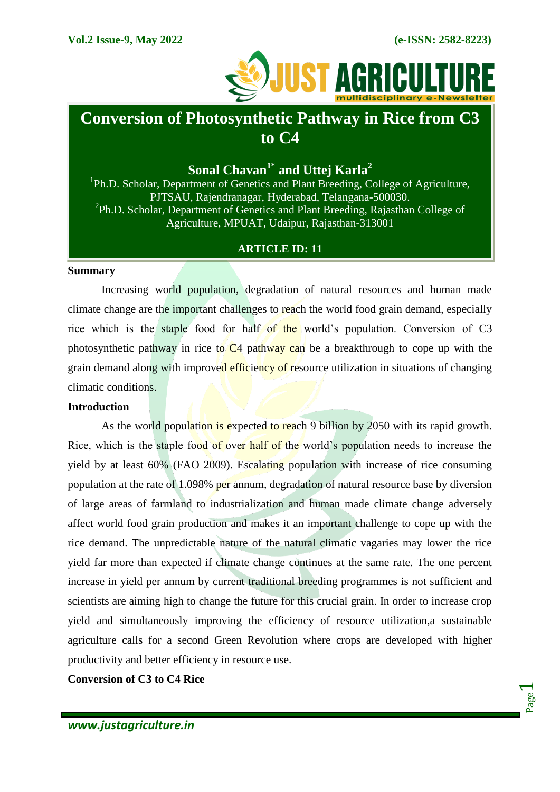

# **Conversion of Photosynthetic Pathway in Rice from C3 to C4**

**Sonal Chavan1\* and Uttej Karla<sup>2</sup>**

<sup>1</sup>Ph.D. Scholar, Department of Genetics and Plant Breeding, College of Agriculture, PJTSAU, Rajendranagar, Hyderabad, Telangana-500030. <sup>2</sup>Ph.D. Scholar, Department of Genetics and Plant Breeding, Rajasthan College of Agriculture, MPUAT, Udaipur, Rajasthan-313001

### **ARTICLE ID: 11**

### **Summary**

Increasing world population, degradation of natural resources and human made climate change are the important challenges to reach the world food grain demand, especially rice which is the staple food for half of the world's population. Conversion of C3 photosynthetic pathway in rice to  $C_4$  pathway can be a breakthrough to cope up with the grain demand along with improved efficiency of resource utilization in situations of changing climatic conditions.

### **Introduction**

As the world population is expected to reach 9 billion by 2050 with its rapid growth. Rice, which is the staple food of over half of the world's population needs to increase the yield by at least 60% (FAO 2009). Escalating population with increase of rice consuming population at the rate of 1.098% per annum, degradation of natural resource base by diversion of large areas of farmland to industrialization and human made climate change adversely affect world food grain production and makes it an important challenge to cope up with the rice demand. The unpredictable nature of the natural climatic vagaries may lower the rice yield far more than expected if climate change continues at the same rate. The one percent increase in yield per annum by current traditional breeding programmes is not sufficient and scientists are aiming high to change the future for this crucial grain. In order to increase crop yield and simultaneously improving the efficiency of resource utilization,a sustainable agriculture calls for a second Green Revolution where crops are developed with higher productivity and better efficiency in resource use.

**Conversion of C3 to C4 Rice**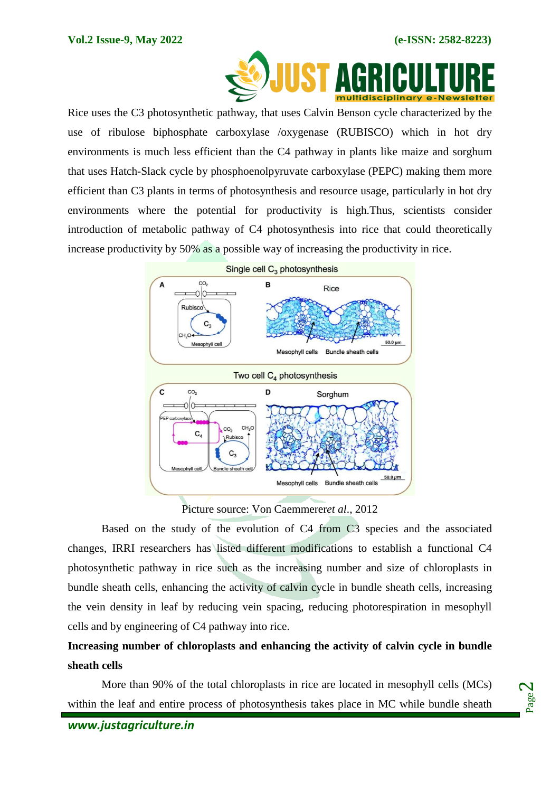

 Rice uses the C3 photosynthetic pathway, that uses Calvin Benson cycle characterized by the use of ribulose biphosphate carboxylase /oxygenase (RUBISCO) which in hot dry environments is much less efficient than the C4 pathway in plants like maize and sorghum that uses Hatch-Slack cycle by phosphoenolpyruvate carboxylase (PEPC) making them more efficient than C3 plants in terms of photosynthesis and resource usage, particularly in hot dry environments where the potential for productivity is high.Thus, scientists consider introduction of metabolic pathway of C4 photosynthesis into rice that could theoretically increase productivity by 50% as a possible way of increasing the productivity in rice.



### Picture source: Von Caemmerer*et al*., 2012

Based on the study of the evolution of C4 from C3 species and the associated changes, IRRI researchers has listed different modifications to establish a functional C4 photosynthetic pathway in rice such as the increasing number and size of chloroplasts in bundle sheath cells, enhancing the activity of calvin cycle in bundle sheath cells, increasing the vein density in leaf by reducing vein spacing, reducing photorespiration in mesophyll cells and by engineering of C4 pathway into rice.

## **Increasing number of chloroplasts and enhancing the activity of calvin cycle in bundle sheath cells**

More than 90% of the total chloroplasts in rice are located in mesophyll cells (MCs) within the leaf and entire process of photosynthesis takes place in MC while bundle sheath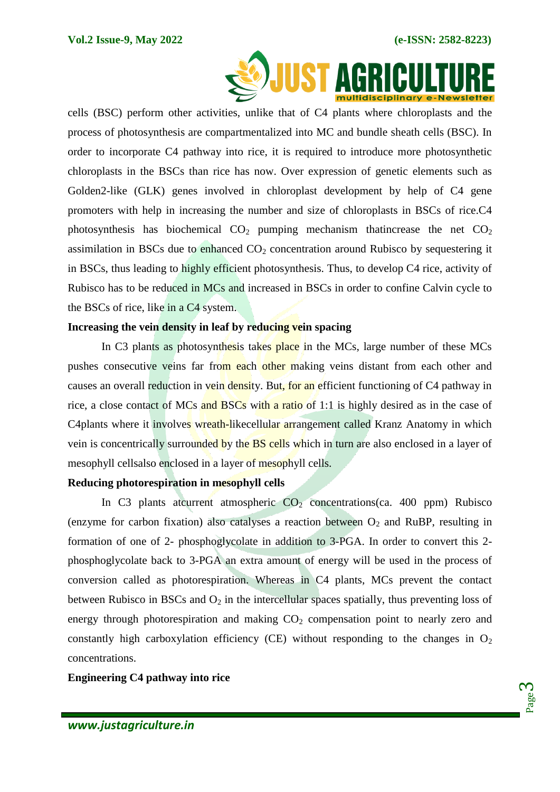

cells (BSC) perform other activities, unlike that of C4 plants where chloroplasts and the process of photosynthesis are compartmentalized into MC and bundle sheath cells (BSC). In order to incorporate C4 pathway into rice, it is required to introduce more photosynthetic chloroplasts in the BSCs than rice has now. Over expression of genetic elements such as Golden2-like (GLK) genes involved in chloroplast development by help of C4 gene promoters with help in increasing the number and size of chloroplasts in BSCs of rice.C4 photosynthesis has biochemical  $CO<sub>2</sub>$  pumping mechanism thatincrease the net  $CO<sub>2</sub>$ assimilation in BSCs due to enhanced  $CO<sub>2</sub>$  concentration around Rubisco by sequestering it in BSCs, thus leading to highly efficient photosynthesis. Thus, to develop C4 rice, activity of Rubisco has to be reduced in MCs and increased in BSCs in order to confine Calvin cycle to the BSCs of rice, like in a C4 system.

### **Increasing the vein density in leaf by reducing vein spacing**

In C3 plants as photosynthesis takes place in the MCs, large number of these MCs pushes consecutive veins far from each other making veins distant from each other and causes an overall reduction in vein density. But, for an efficient functioning of C4 pathway in rice, a close contact of MCs and BSCs with a ratio of 1:1 is highly desired as in the case of C4plants where it involves wreath-like cellular arrangement called Kranz Anatomy in which vein is concentrically surrounded by the **BS** cells which in turn are also enclosed in a layer of mesophyll cellsalso enclosed in a layer of mesophyll cells.

### **Reducing photorespiration in mesophyll cells**

In C3 plants atcurrent atmospheric  $CO<sub>2</sub>$  concentrations(ca. 400 ppm) Rubisco (enzyme for carbon fixation) also catalyses a reaction between  $O_2$  and RuBP, resulting in formation of one of 2- phosphoglycolate in addition to 3-PGA. In order to convert this 2 phosphoglycolate back to 3-PGA an extra amount of energy will be used in the process of conversion called as photorespiration. Whereas in C4 plants, MCs prevent the contact between Rubisco in BSCs and  $O_2$  in the intercellular spaces spatially, thus preventing loss of energy through photorespiration and making  $CO<sub>2</sub>$  compensation point to nearly zero and constantly high carboxylation efficiency (CE) without responding to the changes in  $O_2$ concentrations.

**Engineering C4 pathway into rice**